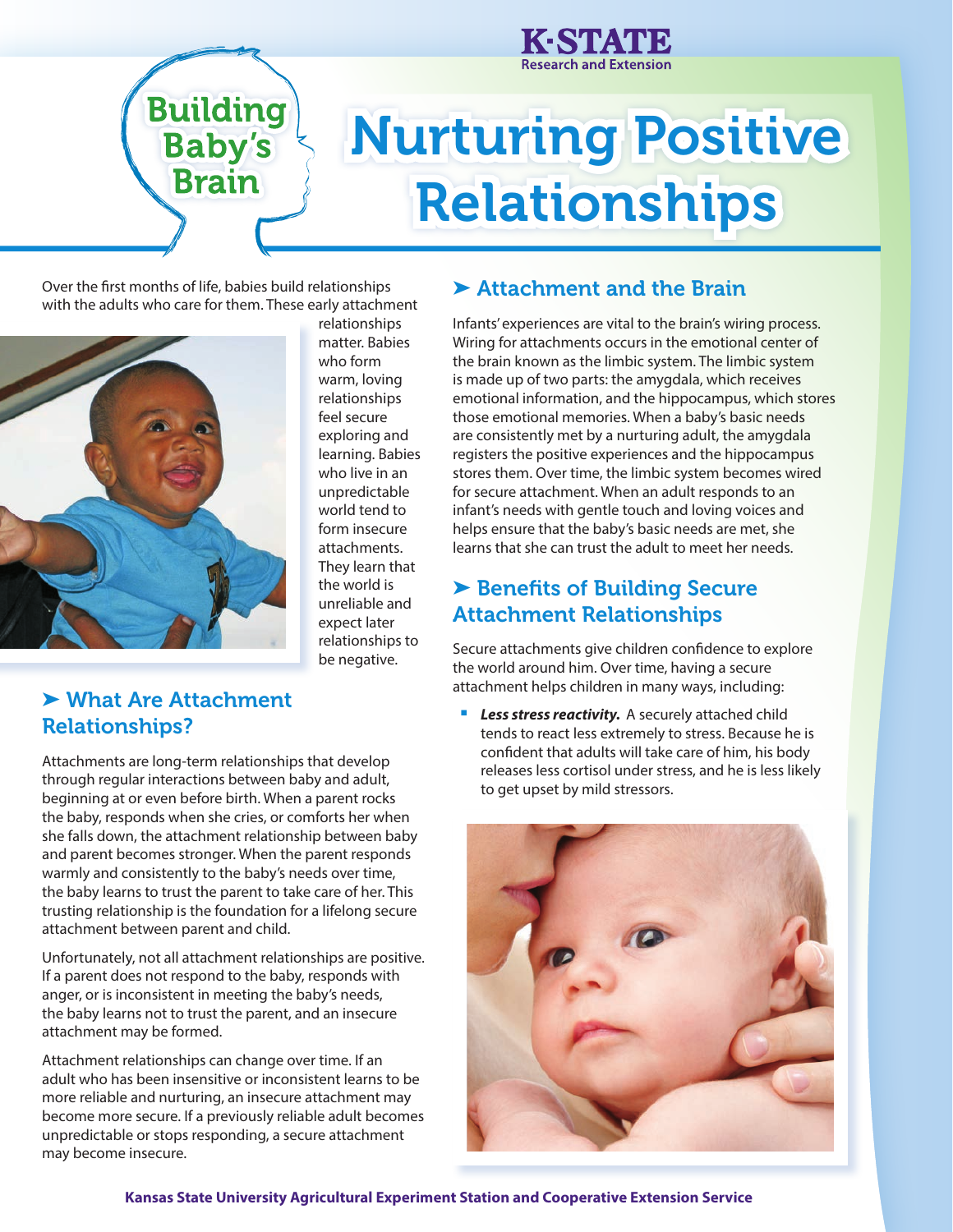

# Nurturing Positive Relationships

Over the first months of life, babies build relationships with the adults who care for them. These early attachment

**Building** 

**Baby's** 

**Brain** 



relationships matter. Babies who form warm, loving relationships feel secure exploring and learning. Babies who live in an unpredictable world tend to form insecure attachments. They learn that the world is unreliable and expect later relationships to be negative.

## ▶ Attachment and the Brain

Infants' experiences are vital to the brain's wiring process. Wiring for attachments occurs in the emotional center of the brain known as the limbic system. The limbic system is made up of two parts: the amygdala, which receives emotional information, and the hippocampus, which stores those emotional memories. When a baby's basic needs are consistently met by a nurturing adult, the amygdala registers the positive experiences and the hippocampus stores them. Over time, the limbic system becomes wired for secure attachment. When an adult responds to an infant's needs with gentle touch and loving voices and helps ensure that the baby's basic needs are met, she learns that she can trust the adult to meet her needs.

# ▶ Benefits of Building Secure Attachment Relationships

Secure attachments give children confidence to explore the world around him. Over time, having a secure attachment helps children in many ways, including:

**Less stress reactivity.** A securely attached child tends to react less extremely to stress. Because he is confident that adults will take care of him, his body releases less cortisol under stress, and he is less likely to get upset by mild stressors.



# ➤ What Are Attachment Relationships?

Attachments are long-term relationships that develop through regular interactions between baby and adult, beginning at or even before birth. When a parent rocks the baby, responds when she cries, or comforts her when she falls down, the attachment relationship between baby and parent becomes stronger. When the parent responds warmly and consistently to the baby's needs over time, the baby learns to trust the parent to take care of her. This trusting relationship is the foundation for a lifelong secure attachment between parent and child.

Unfortunately, not all attachment relationships are positive. If a parent does not respond to the baby, responds with anger, or is inconsistent in meeting the baby's needs, the baby learns not to trust the parent, and an insecure attachment may be formed.

Attachment relationships can change over time. If an adult who has been insensitive or inconsistent learns to be more reliable and nurturing, an insecure attachment may become more secure. If a previously reliable adult becomes unpredictable or stops responding, a secure attachment may become insecure.

### **Kansas State University Agricultural Experiment Station and Cooperative Extension Service**